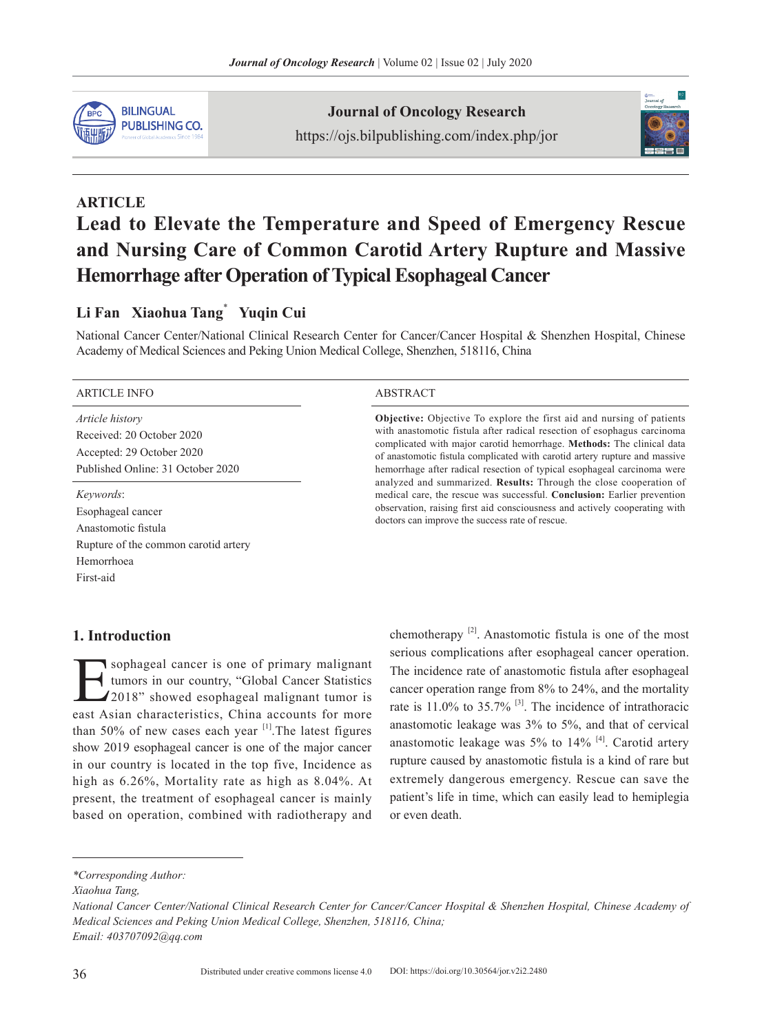

**Journal of Oncology Research** https://ojs.bilpublishing.com/index.php/jor



# **ARTICLE Lead to Elevate the Temperature and Speed of Emergency Rescue and Nursing Care of Common Carotid Artery Rupture and Massive Hemorrhage after Operation of Typical Esophageal Cancer**

## **Li Fan Xiaohua Tang**\*  **Yuqin Cui**

National Cancer Center/National Clinical Research Center for Cancer/Cancer Hospital & Shenzhen Hospital, Chinese Academy of Medical Sciences and Peking Union Medical College, Shenzhen, 518116, China

#### ARTICLE INFO ABSTRACT

*Article history* Received: 20 October 2020 Accepted: 29 October 2020 Published Online: 31 October 2020

#### *Keywords*:

Esophageal cancer Anastomotic fistula Rupture of the common carotid artery Hemorrhoea First-aid

**Objective:** Objective To explore the first aid and nursing of patients with anastomotic fistula after radical resection of esophagus carcinoma complicated with major carotid hemorrhage. **Methods:** The clinical data of anastomotic fistula complicated with carotid artery rupture and massive hemorrhage after radical resection of typical esophageal carcinoma were analyzed and summarized. **Results:** Through the close cooperation of medical care, the rescue was successful. **Conclusion:** Earlier prevention observation, raising first aid consciousness and actively cooperating with doctors can improve the success rate of rescue.

#### **1. Introduction**

sophageal cancer is one of primary malignant tumors in our country, "Global Cancer Statistics 12018" showed esophageal malignant tumor is east Asian characteristics, China accounts for more than 50% of new cases each year  $\left[1\right]$ . The latest figures show 2019 esophageal cancer is one of the major cancer in our country is located in the top five, Incidence as high as 6.26%, Mortality rate as high as 8.04%. At present, the treatment of esophageal cancer is mainly based on operation, combined with radiotherapy and chemotherapy  $[2]$ . Anastomotic fistula is one of the most serious complications after esophageal cancer operation. The incidence rate of anastomotic fistula after esophageal cancer operation range from 8% to 24%, and the mortality rate is 11.0% to 35.7% [3]. The incidence of intrathoracic anastomotic leakage was 3% to 5%, and that of cervical anastomotic leakage was  $5\%$  to  $14\%$  [4]. Carotid artery rupture caused by anastomotic fistula is a kind of rare but extremely dangerous emergency. Rescue can save the patient's life in time, which can easily lead to hemiplegia or even death.

*<sup>\*</sup>Corresponding Author:*

*Xiaohua Tang,* 

*National Cancer Center/National Clinical Research Center for Cancer/Cancer Hospital & Shenzhen Hospital, Chinese Academy of Medical Sciences and Peking Union Medical College, Shenzhen, 518116, China; Email: 403707092@qq.com*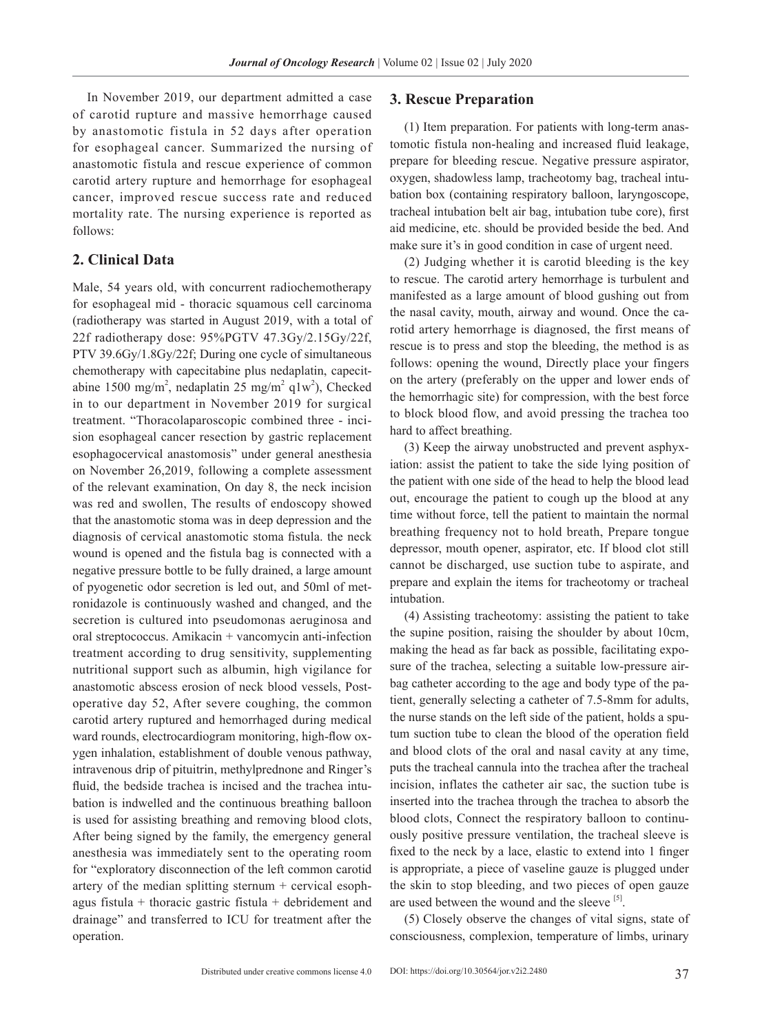In November 2019, our department admitted a case of carotid rupture and massive hemorrhage caused by anastomotic fistula in 52 days after operation for esophageal cancer. Summarized the nursing of anastomotic fistula and rescue experience of common carotid artery rupture and hemorrhage for esophageal cancer, improved rescue success rate and reduced mortality rate. The nursing experience is reported as follows:

### **2. Clinical Data**

Male, 54 years old, with concurrent radiochemotherapy for esophageal mid - thoracic squamous cell carcinoma (radiotherapy was started in August 2019, with a total of 22f radiotherapy dose: 95%PGTV 47.3Gy/2.15Gy/22f, PTV 39.6Gy/1.8Gy/22f; During one cycle of simultaneous chemotherapy with capecitabine plus nedaplatin, capecitabine 1500 mg/m<sup>2</sup>, nedaplatin 25 mg/m<sup>2</sup> q1w<sup>2</sup>), Checked in to our department in November 2019 for surgical treatment. "Thoracolaparoscopic combined three - incision esophageal cancer resection by gastric replacement esophagocervical anastomosis" under general anesthesia on November 26,2019, following a complete assessment of the relevant examination, On day 8, the neck incision was red and swollen, The results of endoscopy showed that the anastomotic stoma was in deep depression and the diagnosis of cervical anastomotic stoma fistula. the neck wound is opened and the fistula bag is connected with a negative pressure bottle to be fully drained, a large amount of pyogenetic odor secretion is led out, and 50ml of metronidazole is continuously washed and changed, and the secretion is cultured into pseudomonas aeruginosa and oral streptococcus. Amikacin + vancomycin anti-infection treatment according to drug sensitivity, supplementing nutritional support such as albumin, high vigilance for anastomotic abscess erosion of neck blood vessels, Postoperative day 52, After severe coughing, the common carotid artery ruptured and hemorrhaged during medical ward rounds, electrocardiogram monitoring, high-flow oxygen inhalation, establishment of double venous pathway, intravenous drip of pituitrin, methylprednone and Ringer's fluid, the bedside trachea is incised and the trachea intubation is indwelled and the continuous breathing balloon is used for assisting breathing and removing blood clots, After being signed by the family, the emergency general anesthesia was immediately sent to the operating room for "exploratory disconnection of the left common carotid artery of the median splitting sternum + cervical esophagus fistula + thoracic gastric fistula + debridement and drainage" and transferred to ICU for treatment after the operation.

#### **3. Rescue Preparation**

(1) Item preparation. For patients with long-term anastomotic fistula non-healing and increased fluid leakage, prepare for bleeding rescue. Negative pressure aspirator, oxygen, shadowless lamp, tracheotomy bag, tracheal intubation box (containing respiratory balloon, laryngoscope, tracheal intubation belt air bag, intubation tube core), first aid medicine, etc. should be provided beside the bed. And make sure it's in good condition in case of urgent need.

(2) Judging whether it is carotid bleeding is the key to rescue. The carotid artery hemorrhage is turbulent and manifested as a large amount of blood gushing out from the nasal cavity, mouth, airway and wound. Once the carotid artery hemorrhage is diagnosed, the first means of rescue is to press and stop the bleeding, the method is as follows: opening the wound, Directly place your fingers on the artery (preferably on the upper and lower ends of the hemorrhagic site) for compression, with the best force to block blood flow, and avoid pressing the trachea too hard to affect breathing.

(3) Keep the airway unobstructed and prevent asphyxiation: assist the patient to take the side lying position of the patient with one side of the head to help the blood lead out, encourage the patient to cough up the blood at any time without force, tell the patient to maintain the normal breathing frequency not to hold breath, Prepare tongue depressor, mouth opener, aspirator, etc. If blood clot still cannot be discharged, use suction tube to aspirate, and prepare and explain the items for tracheotomy or tracheal intubation.

(4) Assisting tracheotomy: assisting the patient to take the supine position, raising the shoulder by about 10cm, making the head as far back as possible, facilitating exposure of the trachea, selecting a suitable low-pressure airbag catheter according to the age and body type of the patient, generally selecting a catheter of 7.5-8mm for adults, the nurse stands on the left side of the patient, holds a sputum suction tube to clean the blood of the operation field and blood clots of the oral and nasal cavity at any time, puts the tracheal cannula into the trachea after the tracheal incision, inflates the catheter air sac, the suction tube is inserted into the trachea through the trachea to absorb the blood clots, Connect the respiratory balloon to continuously positive pressure ventilation, the tracheal sleeve is fixed to the neck by a lace, elastic to extend into 1 finger is appropriate, a piece of vaseline gauze is plugged under the skin to stop bleeding, and two pieces of open gauze are used between the wound and the sleeve [5].

(5) Closely observe the changes of vital signs, state of consciousness, complexion, temperature of limbs, urinary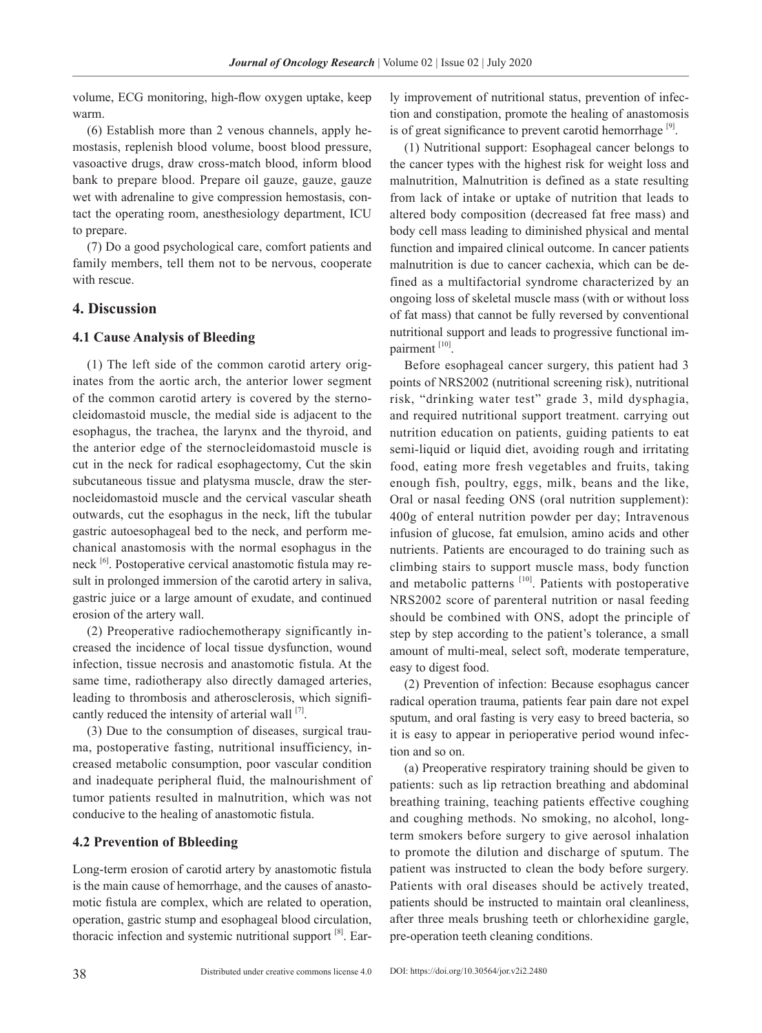volume, ECG monitoring, high-flow oxygen uptake, keep warm.

(6) Establish more than 2 venous channels, apply hemostasis, replenish blood volume, boost blood pressure, vasoactive drugs, draw cross-match blood, inform blood bank to prepare blood. Prepare oil gauze, gauze, gauze wet with adrenaline to give compression hemostasis, contact the operating room, anesthesiology department, ICU to prepare.

(7) Do a good psychological care, comfort patients and family members, tell them not to be nervous, cooperate with rescue.

#### **4. Discussion**

#### **4.1 Cause Analysis of Bleeding**

(1) The left side of the common carotid artery originates from the aortic arch, the anterior lower segment of the common carotid artery is covered by the sternocleidomastoid muscle, the medial side is adjacent to the esophagus, the trachea, the larynx and the thyroid, and the anterior edge of the sternocleidomastoid muscle is cut in the neck for radical esophagectomy, Cut the skin subcutaneous tissue and platysma muscle, draw the sternocleidomastoid muscle and the cervical vascular sheath outwards, cut the esophagus in the neck, lift the tubular gastric autoesophageal bed to the neck, and perform mechanical anastomosis with the normal esophagus in the neck [6]. Postoperative cervical anastomotic fistula may result in prolonged immersion of the carotid artery in saliva, gastric juice or a large amount of exudate, and continued erosion of the artery wall.

(2) Preoperative radiochemotherapy significantly increased the incidence of local tissue dysfunction, wound infection, tissue necrosis and anastomotic fistula. At the same time, radiotherapy also directly damaged arteries, leading to thrombosis and atherosclerosis, which significantly reduced the intensity of arterial wall  $^{[7]}$ .

(3) Due to the consumption of diseases, surgical trauma, postoperative fasting, nutritional insufficiency, increased metabolic consumption, poor vascular condition and inadequate peripheral fluid, the malnourishment of tumor patients resulted in malnutrition, which was not conducive to the healing of anastomotic fistula.

#### **4.2 Prevention of Bbleeding**

Long-term erosion of carotid artery by anastomotic fistula is the main cause of hemorrhage, and the causes of anastomotic fistula are complex, which are related to operation, operation, gastric stump and esophageal blood circulation, thoracic infection and systemic nutritional support [8]. Early improvement of nutritional status, prevention of infection and constipation, promote the healing of anastomosis is of great significance to prevent carotid hemorrhage  $[9]$ .

(1) Nutritional support: Esophageal cancer belongs to the cancer types with the highest risk for weight loss and malnutrition, Malnutrition is defined as a state resulting from lack of intake or uptake of nutrition that leads to altered body composition (decreased fat free mass) and body cell mass leading to diminished physical and mental function and impaired clinical outcome. In cancer patients malnutrition is due to cancer cachexia, which can be defined as a multifactorial syndrome characterized by an ongoing loss of skeletal muscle mass (with or without loss of fat mass) that cannot be fully reversed by conventional nutritional support and leads to progressive functional impairment [10].

Before esophageal cancer surgery, this patient had 3 points of NRS2002 (nutritional screening risk), nutritional risk, "drinking water test" grade 3, mild dysphagia, and required nutritional support treatment. carrying out nutrition education on patients, guiding patients to eat semi-liquid or liquid diet, avoiding rough and irritating food, eating more fresh vegetables and fruits, taking enough fish, poultry, eggs, milk, beans and the like, Oral or nasal feeding ONS (oral nutrition supplement): 400g of enteral nutrition powder per day; Intravenous infusion of glucose, fat emulsion, amino acids and other nutrients. Patients are encouraged to do training such as climbing stairs to support muscle mass, body function and metabolic patterns [10]. Patients with postoperative NRS2002 score of parenteral nutrition or nasal feeding should be combined with ONS, adopt the principle of step by step according to the patient's tolerance, a small amount of multi-meal, select soft, moderate temperature, easy to digest food.

(2) Prevention of infection: Because esophagus cancer radical operation trauma, patients fear pain dare not expel sputum, and oral fasting is very easy to breed bacteria, so it is easy to appear in perioperative period wound infection and so on.

(a) Preoperative respiratory training should be given to patients: such as lip retraction breathing and abdominal breathing training, teaching patients effective coughing and coughing methods. No smoking, no alcohol, longterm smokers before surgery to give aerosol inhalation to promote the dilution and discharge of sputum. The patient was instructed to clean the body before surgery. Patients with oral diseases should be actively treated, patients should be instructed to maintain oral cleanliness, after three meals brushing teeth or chlorhexidine gargle, pre-operation teeth cleaning conditions.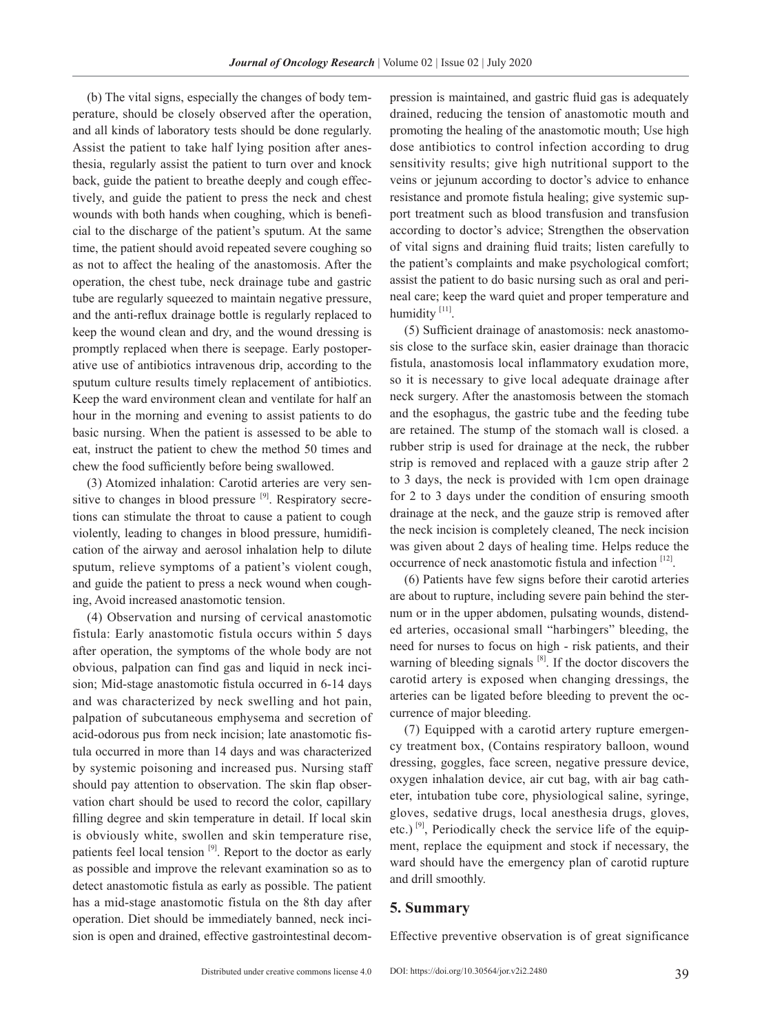(b) The vital signs, especially the changes of body temperature, should be closely observed after the operation, and all kinds of laboratory tests should be done regularly. Assist the patient to take half lying position after anesthesia, regularly assist the patient to turn over and knock back, guide the patient to breathe deeply and cough effectively, and guide the patient to press the neck and chest wounds with both hands when coughing, which is beneficial to the discharge of the patient's sputum. At the same time, the patient should avoid repeated severe coughing so as not to affect the healing of the anastomosis. After the operation, the chest tube, neck drainage tube and gastric tube are regularly squeezed to maintain negative pressure, and the anti-reflux drainage bottle is regularly replaced to keep the wound clean and dry, and the wound dressing is promptly replaced when there is seepage. Early postoperative use of antibiotics intravenous drip, according to the sputum culture results timely replacement of antibiotics. Keep the ward environment clean and ventilate for half an hour in the morning and evening to assist patients to do basic nursing. When the patient is assessed to be able to eat, instruct the patient to chew the method 50 times and chew the food sufficiently before being swallowed.

(3) Atomized inhalation: Carotid arteries are very sensitive to changes in blood pressure <sup>[9]</sup>. Respiratory secretions can stimulate the throat to cause a patient to cough violently, leading to changes in blood pressure, humidification of the airway and aerosol inhalation help to dilute sputum, relieve symptoms of a patient's violent cough, and guide the patient to press a neck wound when coughing, Avoid increased anastomotic tension.

(4) Observation and nursing of cervical anastomotic fistula: Early anastomotic fistula occurs within 5 days after operation, the symptoms of the whole body are not obvious, palpation can find gas and liquid in neck incision; Mid-stage anastomotic fistula occurred in 6-14 days and was characterized by neck swelling and hot pain, palpation of subcutaneous emphysema and secretion of acid-odorous pus from neck incision; late anastomotic fistula occurred in more than 14 days and was characterized by systemic poisoning and increased pus. Nursing staff should pay attention to observation. The skin flap observation chart should be used to record the color, capillary filling degree and skin temperature in detail. If local skin is obviously white, swollen and skin temperature rise, patients feel local tension [9]. Report to the doctor as early as possible and improve the relevant examination so as to detect anastomotic fistula as early as possible. The patient has a mid-stage anastomotic fistula on the 8th day after operation. Diet should be immediately banned, neck incision is open and drained, effective gastrointestinal decompression is maintained, and gastric fluid gas is adequately drained, reducing the tension of anastomotic mouth and promoting the healing of the anastomotic mouth; Use high dose antibiotics to control infection according to drug sensitivity results; give high nutritional support to the veins or jejunum according to doctor's advice to enhance resistance and promote fistula healing; give systemic support treatment such as blood transfusion and transfusion according to doctor's advice; Strengthen the observation of vital signs and draining fluid traits; listen carefully to the patient's complaints and make psychological comfort; assist the patient to do basic nursing such as oral and perineal care; keep the ward quiet and proper temperature and humidity<sup>[11]</sup>.

(5) Sufficient drainage of anastomosis: neck anastomosis close to the surface skin, easier drainage than thoracic fistula, anastomosis local inflammatory exudation more, so it is necessary to give local adequate drainage after neck surgery. After the anastomosis between the stomach and the esophagus, the gastric tube and the feeding tube are retained. The stump of the stomach wall is closed. a rubber strip is used for drainage at the neck, the rubber strip is removed and replaced with a gauze strip after 2 to 3 days, the neck is provided with 1cm open drainage for 2 to 3 days under the condition of ensuring smooth drainage at the neck, and the gauze strip is removed after the neck incision is completely cleaned, The neck incision was given about 2 days of healing time. Helps reduce the occurrence of neck anastomotic fistula and infection [12].

(6) Patients have few signs before their carotid arteries are about to rupture, including severe pain behind the sternum or in the upper abdomen, pulsating wounds, distended arteries, occasional small "harbingers" bleeding, the need for nurses to focus on high - risk patients, and their warning of bleeding signals  $[8]$ . If the doctor discovers the carotid artery is exposed when changing dressings, the arteries can be ligated before bleeding to prevent the occurrence of major bleeding.

(7) Equipped with a carotid artery rupture emergency treatment box, (Contains respiratory balloon, wound dressing, goggles, face screen, negative pressure device, oxygen inhalation device, air cut bag, with air bag catheter, intubation tube core, physiological saline, syringe, gloves, sedative drugs, local anesthesia drugs, gloves, etc.)  $^{[9]}$ , Periodically check the service life of the equipment, replace the equipment and stock if necessary, the ward should have the emergency plan of carotid rupture and drill smoothly.

#### **5. Summary**

Effective preventive observation is of great significance